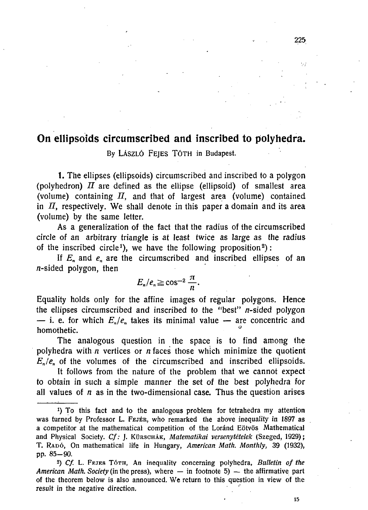## **On ellipsoids circumscribed and inscribed to polyhedra.**

By LÁSZLÓ FEJES TÓTH in Budapest.

1. The ellipses (ellipsoids) circumscribed and inscribed to a polygon (polyhedron)  $\overline{II}$  are defined as the ellipse (ellipsoid) of smallest area (volume) containing  $H$ , and that of largest area (volume) contained in *II,* respectively. We shall denote in this paper a domain and its area (volume) by the same letter.

As a generalization of the fact that the radius of the circumscribed circle of an arbitrary triangle is at least twice as large as the radius of the inscribed circle<sup>1</sup>), we have the following proposition<sup>2</sup>):

If  $E_n$  and  $e_n$  are the circumscribed and inscribed ellipses of an n-sided polygon, then

$$
E_n/e_n \geq \cos^{-2} \frac{\pi}{n}.
$$

Equality holds only for the affine images of regular polygons. Hence the ellipses circumscribed and inscribed to the "best"  $n$ -sided polygon — i. e. for which  $E_n/e_n$  takes its minimal value — are concentric and homothetic.

The analogous question in the space is to find among the polyhedra with *n* vertices or *n* faces those which minimize the quotient  $E_n/e_n$  of the volumes of the circumscribed and inscribed ellipsoids.

It follows from the nature of the problem that we cannot expect to obtain in such a simple manner the set of the best polyhedra for all values of *n* as in the two-dimensional case. Thus the question arises

13

<sup>&</sup>lt;sup>1</sup>) To this fact and to the analogous problem for tetrahedra my attention was turned by Professor L. FEJER, who remarked the above inequality in 1897 as a competitor at the mathematical competition of the Loránd Eötvös Mathematical and Physical Society. *Cf:* J. KÜRSCHÁK, *Matematikai versenytételek* (Szeged, 1929) ; T. RADÓ, On mathematical life in Hungary, American Math. Monthly, 39 (1932), pp. 85-90.

*s ) Cf.* L. FEJES TÓTH, An inequality concerning polyhedra, *Bulletin of the American Math. Society* (in the press), where — in footnote 5) — the affirmative part of the theorem below is also announced. We return to this question in view of the result in the negative direction.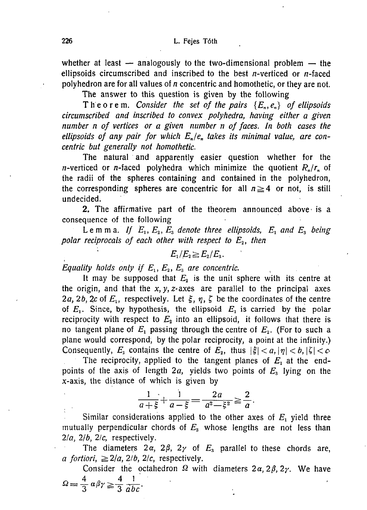whether at least  $-$  analogously to the two-dimensional problem  $-$  the ellipsoids circumscribed and inscribed to the best *n*-verticed or *n*-faced polyhedron are for all values of n concentric and homothetic, or they are not.

The answer to this question is given by the following

Theorem. Consider the set of the pairs  $\{E_n, e_n\}$  of ellipsoids *circumscribed and inscribed to convex polyhedra, having either a given number n of vertices or a given number n of faces. In both cases the ellipsoids of any pair for which*  $E_n/e_n$  takes its minimal value, are con*centric but generally not homothetic.* 

The natural and apparently easier question whether for the *n*-verticed or *n*-faced polyhedra which minimize the quotient  $R_n/r_n$  of ihe radii of the spheres containing and contained in the polyhedron, the corresponding spheres are concentric for all  $n \geq 4$  or not, is still undecided.

2. The affirmative part of the theorem announced above' is a consequence of the following

Lemma. If  $E_1, E_2, E_3$  denote three ellipsoids,  $E_1$  and  $E_3$  being *polar reciprocals of each other with respect to E2, then* 

$$
E_1/E_2 \geq E_2/E_3.
$$

*Equality holds only if*  $E_1, E_2, E_3$  are concentric.

It may be supposed that  $E_2$  is the unit sphere with its centre at the origin, and that the  $x, y, z$ -axes are parallel to the principal axes 2a, 2b, 2c of  $E_1$ , respectively. Let  $\xi$ ,  $\eta$ ,  $\zeta$  be the coordinates of the centre of  $E_1$ . Since, by hypothesis, the ellipsoid  $E_1$  is carried by the polar reciprocity with respect to  $E_2$  into an ellipsoid, it follows that there is no tangent plane of  $E_1$  passing through the centre of  $E_2$ . (For to such a plane would correspond, by the polar reciprocity, a point at the infinity.) Consequently,  $E_i$  contains the centre of  $E_2$ , thus  $|\xi| < a$ ,  $|\eta| < b$ ,  $|\zeta| < c$ .

The reciprocity, applied to the tangent planes of  $E_1$  at the endpoints of the axis of length *2a,* yields two points of *E<sup>s</sup>* lying on the x-axis, the distance of which is given by

> $1 \cdot 1 \cdot 2a \cdot 2$  $a + \xi + a - \xi = a^2 - \xi^2 = a^2$

Similar considerations applied to the other axes of  $E<sub>1</sub>$  yield three mutually perpendicular chords of *E3* whose lengths are not less than  $2/a$ ,  $2/b$ ,  $2/c$ , respectively.

The diameters  $2\alpha$ ,  $2\beta$ ,  $2\gamma$  of  $E_3$  parallel to these chords are, *a fortiori,*  $\geq 2/a$ ,  $2/b$ ,  $2/c$ , respectively.

Consider the octahedron  $\Omega$  with diameters  $2\alpha$ ,  $2\beta$ ,  $2\gamma$ . We have  $\Omega = \frac{4}{3} \alpha \beta \gamma \geq \frac{4}{3} \frac{1}{abc}.$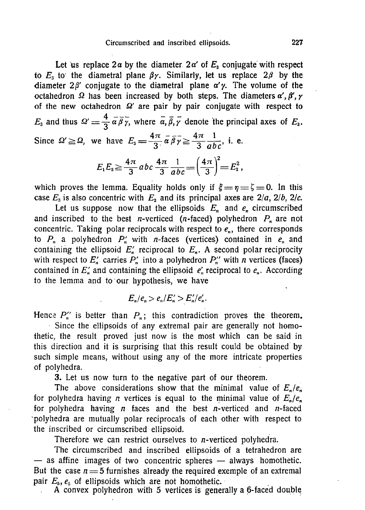## Circumscribed and inscribed ellipsoids. 227

Let us replace  $2\alpha$  by the diameter  $2\alpha'$  of  $E_3$  conjugate with respect to  $E_3$  to the diametral plane  $\beta \gamma$ . Similarly, let us replace  $2\beta$  by the diameter  $2\beta'$  conjugate to the diametral plane  $\alpha'$ *y*. The volume of the octahedron  $\Omega$  has been increased by both steps. The diameters  $\alpha'$ ,  $\beta'$ ,  $\gamma$ of the new octahedron  $\Omega'$  are pair by pair conjugate with respect to  $4 - E_3$  and thus  $\Omega' = \frac{1}{2} \alpha \beta \gamma$ , where  $\alpha, \beta, \gamma$  denote the principal axes of  $E_3$ . Since  $\Omega' \geq \Omega$ , we have  $E_3 = \frac{4\pi}{2} \overline{\alpha} \overline{\beta} \overline{\gamma} \geq \frac{4\pi}{2} \overline{\gamma} \overline{\gamma}$ , i. e.

$$
E_1E_3 \ge \frac{4\pi}{3}abc \frac{4\pi}{3} \frac{1}{abc} = \left(\frac{4\pi}{3}\right)^2 = E_2^2,
$$

which proves the lemma. Equality holds only if  $\xi = \eta = \zeta = 0$ . In this case  $E_3$  is also concentric with  $E_2$  and its principal axes are  $2/a$ ,  $2/b$ ,  $2/c$ .

Let us suppose now that the ellipsoids  $E_n$  and  $e_n$  circumscribed and inscribed to the best *n*-verticed (*n*-faced) polyhedron  $P_n$  are not concentric. Taking polar reciprocals with respect to  $e_n$ , there corresponds to  $P_n$  a polyhedron  $P'_n$  with *n*-faces (vertices) contained in  $e_n$  and containing the ellipsoid  $E'$  reciprocal to  $E_n$ . A second polar reciprocity with respect to  $E'_n$  carries  $P'_n$  into a polyhedron  $P''_n$  with *n* vertices (faces) contained in  $E'_n$  and containing the ellipsoid  $e'_n$  reciprocal to  $e_n$ . According to the lemma and to our hypothesis, we have

$$
E_n/e_n > e_n/E_n' > E_n/e_n'.
$$

Hence  $P''_n$  is better than  $P_n$ ; this contradiction proves the theorem.

Since the ellipsoids of any extremal pair are generally not homothetic, the result proved just now is the most which can be said in this direction and it is surprising that this result could be obtained by such simple means, without using any of the more intricate properties of polyhedra.

3. Let us now turn to the negative part of our theorem.

The above considerations show that the minimal value of  $E_n/e_n$ for polyhedra having *n* vertices is equal to the minimal value of  $E_n/e_n$ for polyhedra having  $n$  faces and the best  $n$ -verticed and  $n$ -faced polyhedra are mutually polar reciprocals of each other with respect to the inscribed or circumscribed ellipsoid.

Therefore we can restrict ourselves to n-verticed polyhedra.

The circumscribed and inscribed ellipsoids of a tetrahedron are — as affine images of two concentric spheres — always homothetic. But the case  $n = 5$  furnishes already the required exemple of an extremal pair  $E_5$ ,  $e_6$  of ellipsoids which are not homothetic.

A convex polyhedron with 5 vertices is generally a 6-faced double!